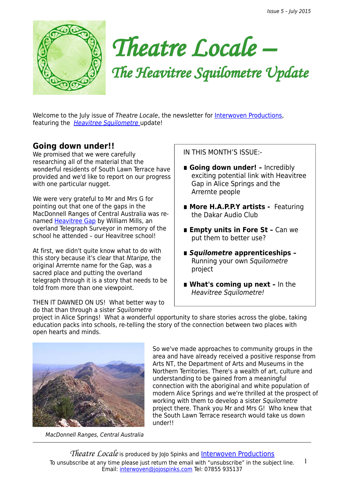

*Theatre Locale –*

*The Heavitree Squilometre Update*

Welcome to the July issue of Theatre Locale, the newsletter for [Interwoven Productions,](http://interwovenproductions.weebly.com/nominate-a-street.html) featuring the [Heavitree Squilometre](http://interwovenproductions.weebly.com/the-heavitree-squilometre.html) update!

## **Going down under!!**

We promised that we were carefully researching all of the material that the wonderful residents of South Lawn Terrace have provided and we'd like to report on our progress with one particular nugget.

We were very grateful to Mr and Mrs G for pointing out that one of the gaps in the MacDonnell Ranges of Central Australia was renamed **Heavitree Gap** by William Mills, an overland Telegraph Surveyor in memory of the school he attended – our Heavitree school!

At first, we didn't quite know what to do with this story because it's clear that Ntaripe, the original Arrernte name for the Gap, was a sacred place and putting the overland telegraph through it is a story that needs to be told from more than one viewpoint.

THEN IT DAWNED ON US! What better way to do that than through a sister Squilometre

IN THIS MONTH'S ISSUE:-

- Going down under! Incredibly exciting potential link with Heavitree Gap in Alice Springs and the Arrernte people
- More H.A.P.P.Y artists Featuring the Dakar Audio Club
- **Empty units in Fore St Can we** put them to better use?
- **Squilometre** apprenticeships Running your own Squilometre project
- What's coming up next In the Heavitree Squilometre!

project in Alice Springs! What a wonderful opportunity to share stories across the globe, taking education packs into schools, re-telling the story of the connection between two places with open hearts and minds.



MacDonnell Ranges, Central Australia

So we've made approaches to community groups in the area and have already received a positive response from [Arts NT,](http://www.artsandmuseums.nt.gov.au/arts) the Department of Arts and Museums in the Northern Territories. There's a wealth of art, culture and understanding to be gained from a meaningful connection with the aboriginal and white population of modern Alice Springs and we're thrilled at the prospect of working with them to develop a sister Squilometre project there. Thank you Mr and Mrs G! Who knew that the South Lawn Terrace research would take us down under!!